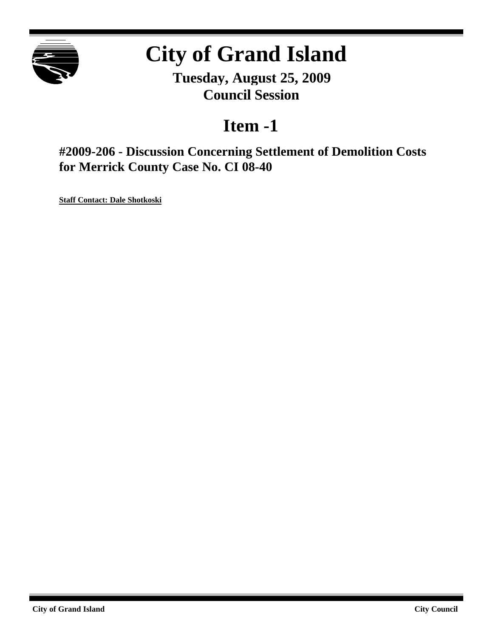

# **City of Grand Island**

**Tuesday, August 25, 2009 Council Session**

## **Item -1**

**#2009-206 - Discussion Concerning Settlement of Demolition Costs for Merrick County Case No. CI 08-40**

**Staff Contact: Dale Shotkoski**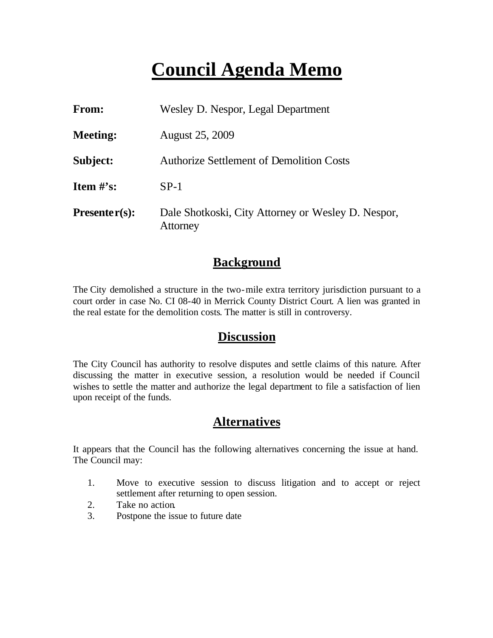# **Council Agenda Memo**

| <b>From:</b>                   | Wesley D. Nespor, Legal Department                             |
|--------------------------------|----------------------------------------------------------------|
| <b>Meeting:</b>                | <b>August 25, 2009</b>                                         |
| Subject:                       | <b>Authorize Settlement of Demolition Costs</b>                |
| <b>Item <math>\#</math>'s:</b> | $SP-1$                                                         |
| $Presenter(s):$                | Dale Shotkoski, City Attorney or Wesley D. Nespor,<br>Attorney |

#### **Background**

The City demolished a structure in the two-mile extra territory jurisdiction pursuant to a court order in case No. CI 08-40 in Merrick County District Court. A lien was granted in the real estate for the demolition costs. The matter is still in controversy.

#### **Discussion**

The City Council has authority to resolve disputes and settle claims of this nature. After discussing the matter in executive session, a resolution would be needed if Council wishes to settle the matter and authorize the legal department to file a satisfaction of lien upon receipt of the funds.

### **Alternatives**

It appears that the Council has the following alternatives concerning the issue at hand. The Council may:

- 1. Move to executive session to discuss litigation and to accept or reject settlement after returning to open session.
- 2. Take no action.
- 3. Postpone the issue to future date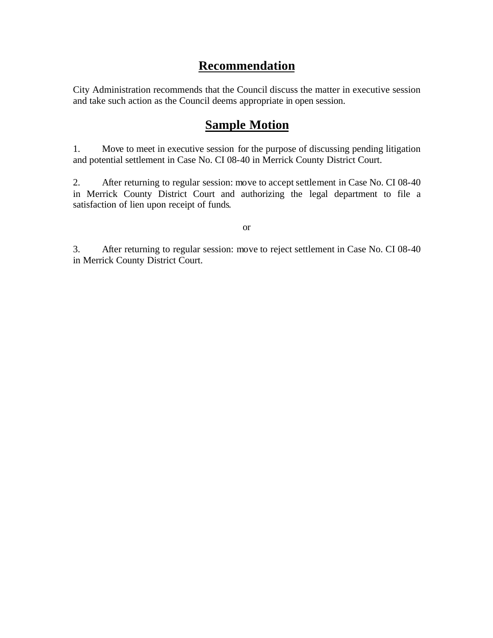### **Recommendation**

City Administration recommends that the Council discuss the matter in executive session and take such action as the Council deems appropriate in open session.

### **Sample Motion**

1. Move to meet in executive session for the purpose of discussing pending litigation and potential settlement in Case No. CI 08-40 in Merrick County District Court.

2. After returning to regular session: move to accept settlement in Case No. CI 08-40 in Merrick County District Court and authorizing the legal department to file a satisfaction of lien upon receipt of funds.

or

3. After returning to regular session: move to reject settlement in Case No. CI 08-40 in Merrick County District Court.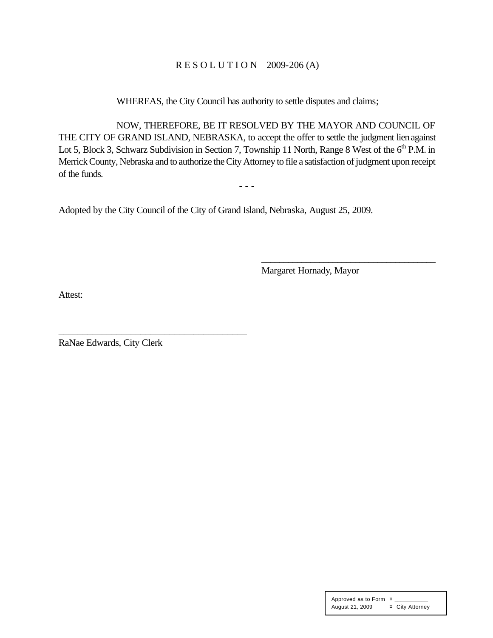#### R E S O L U T I O N 2009-206 (A)

WHEREAS, the City Council has authority to settle disputes and claims;

NOW, THEREFORE, BE IT RESOLVED BY THE MAYOR AND COUNCIL OF THE CITY OF GRAND ISLAND, NEBRASKA, to accept the offer to settle the judgment lien against Lot 5, Block 3, Schwarz Subdivision in Section 7, Township 11 North, Range 8 West of the  $6<sup>th</sup>$  P.M. in Merrick County, Nebraska and to authorize the City Attorney to file a satisfaction of judgment upon receipt of the funds.

- - -

Adopted by the City Council of the City of Grand Island, Nebraska, August 25, 2009.

Margaret Hornady, Mayor

\_\_\_\_\_\_\_\_\_\_\_\_\_\_\_\_\_\_\_\_\_\_\_\_\_\_\_\_\_\_\_\_\_\_\_\_\_\_\_

Attest:

RaNae Edwards, City Clerk

\_\_\_\_\_\_\_\_\_\_\_\_\_\_\_\_\_\_\_\_\_\_\_\_\_\_\_\_\_\_\_\_\_\_\_\_\_\_\_

Approved as to Form ¤ \_\_\_\_\_\_\_\_\_\_\_ August 21, 2009